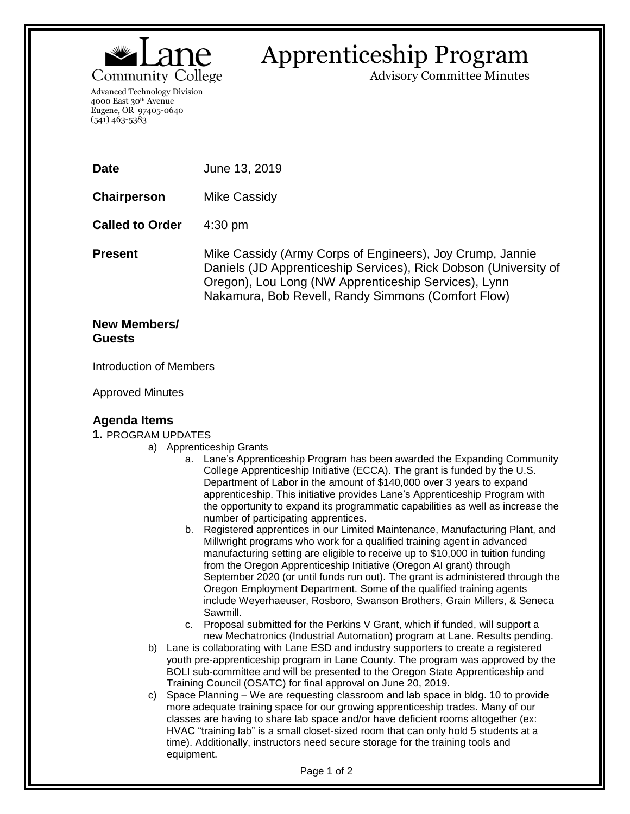

# Apprenticeship Program

Advisory Committee Minutes

Advanced Technology Division 4000 East 30th Avenue Eugene, OR 97405-0640 (541) 463-5383

**Date** June 13, 2019

**Chairperson** Mike Cassidy

**Called to Order** 4:30 pm

**Present** Mike Cassidy (Army Corps of Engineers), Joy Crump, Jannie Daniels (JD Apprenticeship Services), Rick Dobson (University of Oregon), Lou Long (NW Apprenticeship Services), Lynn Nakamura, Bob Revell, Randy Simmons (Comfort Flow)

## **New Members/ Guests**

Introduction of Members

Approved Minutes

## **Agenda Items**

#### **1.** PROGRAM UPDATES

- a) Apprenticeship Grants
	- a. Lane's Apprenticeship Program has been awarded the Expanding Community College Apprenticeship Initiative (ECCA). The grant is funded by the U.S. Department of Labor in the amount of \$140,000 over 3 years to expand apprenticeship. This initiative provides Lane's Apprenticeship Program with the opportunity to expand its programmatic capabilities as well as increase the number of participating apprentices.
	- b. Registered apprentices in our Limited Maintenance, Manufacturing Plant, and Millwright programs who work for a qualified training agent in advanced manufacturing setting are eligible to receive up to \$10,000 in tuition funding from the Oregon Apprenticeship Initiative (Oregon AI grant) through September 2020 (or until funds run out). The grant is administered through the Oregon Employment Department. Some of the qualified training agents include Weyerhaeuser, Rosboro, Swanson Brothers, Grain Millers, & Seneca Sawmill.
	- c. Proposal submitted for the Perkins V Grant, which if funded, will support a new Mechatronics (Industrial Automation) program at Lane. Results pending.
	- b) Lane is collaborating with Lane ESD and industry supporters to create a registered youth pre-apprenticeship program in Lane County. The program was approved by the BOLI sub-committee and will be presented to the Oregon State Apprenticeship and Training Council (OSATC) for final approval on June 20, 2019.
	- c) Space Planning We are requesting classroom and lab space in bldg. 10 to provide more adequate training space for our growing apprenticeship trades. Many of our classes are having to share lab space and/or have deficient rooms altogether (ex: HVAC "training lab" is a small closet-sized room that can only hold 5 students at a time). Additionally, instructors need secure storage for the training tools and equipment.

Page 1 of 2